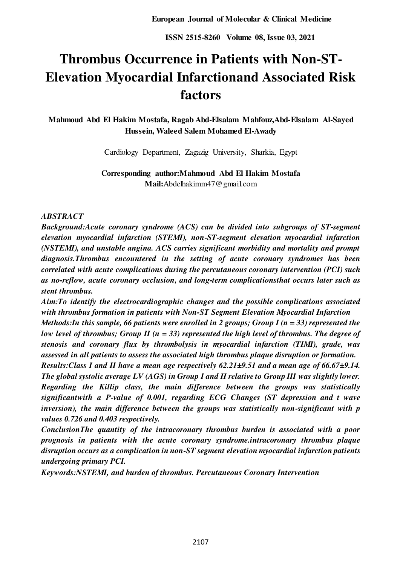# **Thrombus Occurrence in Patients with Non-ST-Elevation Myocardial Infarctionand Associated Risk factors**

**Mahmoud Abd El Hakim Mostafa, Ragab Abd-Elsalam Mahfouz,Abd-Elsalam Al-Sayed Hussein, Waleed Salem Mohamed El-Awady** 

Cardiology Department, Zagazig University, Sharkia, Egypt

**Corresponding author:Mahmoud Abd El Hakim Mostafa Mail:**Abdelhakimm47@gmail.com

# *ABSTRACT*

*Background:Acute coronary syndrome (ACS) can be divided into subgroups of ST-segment elevation myocardial infarction (STEMI), non-ST-segment elevation myocardial infarction (NSTEMI), and unstable angina. ACS carries significant morbidity and mortality and prompt diagnosis.Thrombus encountered in the setting of acute coronary syndromes has been correlated with acute complications during the percutaneous coronary intervention (PCI) such as no-reflow, acute coronary occlusion, and long-term complicationsthat occurs later such as stent thrombus.* 

*Aim:To identify the electrocardiographic changes and the possible complications associated with thrombus formation in patients with Non-ST Segment Elevation Myocardial Infarction Methods:In this sample, 66 patients were enrolled in 2 groups; Group I (n = 33) represented the low level of thrombus; Group II (n = 33) represented the high level of thrombus. The degree of stenosis and coronary flux by thrombolysis in myocardial infarction (TIMI), grade, was assessed in all patients to assess the associated high thrombus plaque disruption or formation.* 

*Results:Class I and II have a mean age respectively 62.21±9.51 and a mean age of 66.67±9.14. The global systolic average LV (AGS) in Group I and II relative to Group III was slightly lower. Regarding the Killip class, the main difference between the groups was statistically significantwith a P-value of 0.001, regarding ECG Changes (ST depression and t wave inversion), the main difference between the groups was statistically non-significant with p values 0.726 and 0.403 respectively.* 

*ConclusionThe quantity of the intracoronary thrombus burden is associated with a poor prognosis in patients with the acute coronary syndrome.intracoronary thrombus plaque disruption occurs as a complication in non-ST segment elevation myocardial infarction patients undergoing primary PCI.* 

*Keywords:NSTEMI, and burden of thrombus. Percutaneous Coronary Intervention*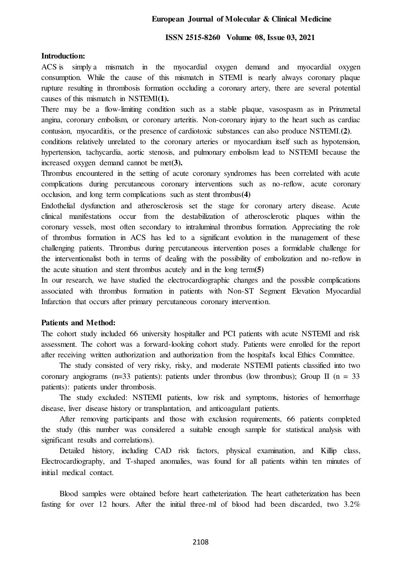## **European Journal of Molecular & Clinical Medicine**

#### **ISSN 2515-8260 Volume 08, Issue 03, 2021**

#### **Introduction:**

ACS is simply a mismatch in the myocardial oxygen demand and myocardial oxygen consumption. While the cause of this mismatch in STEMI is nearly always coronary plaque rupture resulting in thrombosis formation occluding a coronary artery, there are several potential causes of this mismatch in NSTEMI**(1).**

There may be a flow-limiting condition such as a stable plaque, vasospasm as in Prinzmetal angina, coronary embolism, or coronary arteritis. Non-coronary injury to the heart such as cardiac contusion, myocarditis, or the presence of cardiotoxic substances can also produce NSTEMI.**(2)**.

conditions relatively unrelated to the coronary arteries or myocardium itself such as hypotension, hypertension, tachycardia, aortic stenosis, and pulmonary embolism lead to NSTEMI because the increased oxygen demand cannot be met**(3).**

Thrombus encountered in the setting of acute coronary syndromes has been correlated with acute complications during percutaneous coronary interventions such as no-reflow, acute coronary occlusion, and long term complications such as stent thrombus**(4)**

Endothelial dysfunction and atherosclerosis set the stage for coronary artery disease. Acute clinical manifestations occur from the destabilization of atherosclerotic plaques within the coronary vessels, most often secondary to intraluminal thrombus formation. Appreciating the role of thrombus formation in ACS has led to a significant evolution in the management of these challenging patients. Thrombus during percutaneous intervention poses a formidable challenge for the interventionalist both in terms of dealing with the possibility of embolization and no-reflow in the acute situation and stent thrombus acutely and in the long term**(5)** 

In our research, we have studied the electrocardiographic changes and the possible complications associated with thrombus formation in patients with Non-ST Segment Elevation Myocardial Infarction that occurs after primary percutaneous coronary intervention.

#### **Patients and Method:**

The cohort study included 66 university hospitaller and PCI patients with acute NSTEMI and risk assessment. The cohort was a forward-looking cohort study. Patients were enrolled for the report after receiving written authorization and authorization from the hospital's local Ethics Committee.

The study consisted of very risky, risky, and moderate NSTEMI patients classified into two coronary angiograms ( $n=33$  patients): patients under thrombus (low thrombus); Group II ( $n = 33$ patients): patients under thrombosis.

The study excluded: NSTEMI patients, low risk and symptoms, histories of hemorrhage disease, liver disease history or transplantation, and anticoagulant patients.

After removing participants and those with exclusion requirements, 66 patients completed the study (this number was considered a suitable enough sample for statistical analysis with significant results and correlations).

Detailed history, including CAD risk factors, physical examination, and Killip class, Electrocardiography, and T-shaped anomalies, was found for all patients within ten minutes of initial medical contact.

Blood samples were obtained before heart catheterization. The heart catheterization has been fasting for over 12 hours. After the initial three-ml of blood had been discarded, two 3.2%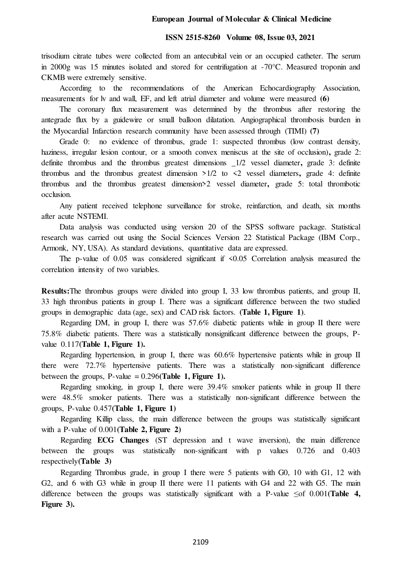#### **European Journal of Molecular & Clinical Medicine**

#### **ISSN 2515-8260 Volume 08, Issue 03, 2021**

trisodium citrate tubes were collected from an antecubital vein or an occupied catheter. The serum in 2000g was 15 minutes isolated and stored for centrifugation at -70°C. Measured troponin and CKMB were extremely sensitive.

According to the recommendations of the American Echocardiography Association, measurements for lv and wall, EF, and left atrial diameter and volume were measured **(6)**

The coronary flux measurement was determined by the thrombus after restoring the antegrade flux by a guidewire or small balloon dilatation. Angiographical thrombosis burden in the Myocardial Infarction research community have been assessed through (TIMI) **(7)** 

Grade 0: no evidence of thrombus, grade 1: suspected thrombus (low contrast density, haziness, irregular lesion contour, or a smooth convex meniscus at the site of occlusion), grade 2: definite thrombus and the thrombus greatest dimensions \_1/2 vessel diameter**,** grade 3: definite thrombus and the thrombus greatest dimension >1/2 to <2 vessel diameters**,** grade 4: definite thrombus and the thrombus greatest dimension>2 vessel diameter**,** grade 5: total thrombotic occlusion.

Any patient received telephone surveillance for stroke, reinfarction, and death, six months after acute NSTEMI.

Data analysis was conducted using version 20 of the SPSS software package. Statistical research was carried out using the Social Sciences Version 22 Statistical Package (IBM Corp., Armonk, NY, USA). As standard deviations, quantitative data are expressed.

The p-value of  $0.05$  was considered significant if  $\leq 0.05$  Correlation analysis measured the correlation intensity of two variables.

**Results:**The thrombus groups were divided into group I, 33 low thrombus patients, and group II, 33 high thrombus patients in group I. There was a significant difference between the two studied groups in demographic data (age, sex) and CAD risk factors. **(Table 1, Figure 1)**.

Regarding DM, in group I, there was 57.6% diabetic patients while in group II there were 75.8% diabetic patients. There was a statistically nonsignificant difference between the groups, Pvalue 0.117**(Table 1, Figure 1).**

Regarding hypertension, in group I, there was 60.6% hypertensive patients while in group II there were 72.7% hypertensive patients. There was a statistically non-significant difference between the groups, P-value  $= 0.296$ (**Table 1, Figure 1).** 

Regarding smoking, in group I, there were 39.4% smoker patients while in group II there were 48.5% smoker patients. There was a statistically non-significant difference between the groups, P-value 0.457**(Table 1, Figure 1)**

Regarding Killip class, the main difference between the groups was statistically significant with a P-value of 0.001**(Table 2, Figure 2)**

Regarding **ECG Changes** (ST depression and t wave inversion), the main difference between the groups was statistically non-significant with p values 0.726 and 0.403 respectively**(Table 3)**

Regarding Thrombus grade, in group I there were 5 patients with G0, 10 with G1, 12 with G2, and 6 with G3 while in group II there were 11 patients with G4 and 22 with G5. The main difference between the groups was statistically significant with a P-value ≤of 0.001**(Table 4, Figure 3).**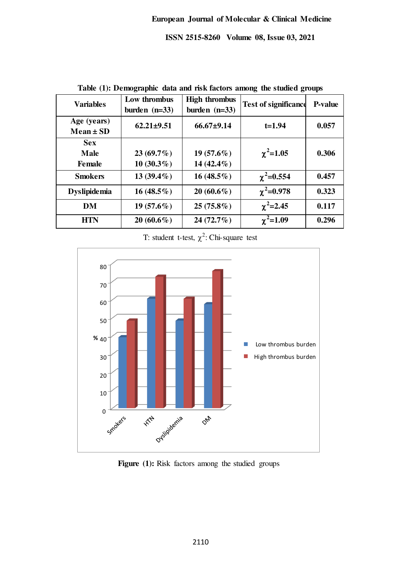|                                            |                                 |                                         | o                           |                |
|--------------------------------------------|---------------------------------|-----------------------------------------|-----------------------------|----------------|
| <b>Variables</b>                           | Low thrombus<br>burden $(n=33)$ | <b>High thrombus</b><br>burden $(n=33)$ | <b>Test of significance</b> | <b>P-value</b> |
| Age (years)<br>$Mean \pm SD$               | $62.21 \pm 9.51$                | $66.67{\pm}9.14$                        | $t=1.94$                    | 0.057          |
| <b>Sex</b><br><b>Male</b><br><b>Female</b> | $23(69.7\%)$<br>$10(30.3\%)$    | $19(57.6\%)$<br>14 $(42.4\%)$           | $\chi^2$ =1.05              | 0.306          |
| <b>Smokers</b>                             | 13 $(39.4\%)$                   | $16(48.5\%)$                            | $\chi^2$ =0.554             | 0.457          |
| <b>Dyslipidemia</b>                        | 16 $(48.5\%)$                   | $20(60.6\%)$                            | $\chi^2$ =0.978             | 0.323          |
| <b>DM</b>                                  | $19(57.6\%)$                    | $25(75.8\%)$                            | $\chi^2$ =2.45              | 0.117          |
| HTN                                        | $20(60.6\%)$                    | $24(72.7\%)$                            | $\chi^2$ =1.09              | 0.296          |

**Table (1): Demographic data and risk factors among the studied groups** 

T: student t-test,  $\chi^2$ : Chi-square test



Figure (1): Risk factors among the studied groups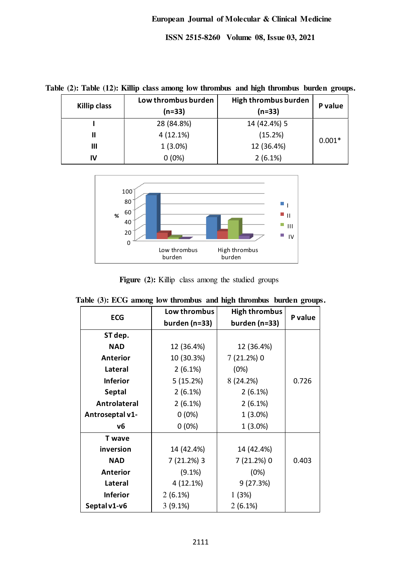**Table (2): Table (12): Killip class among low thrombus and high thrombus burden groups.** 

| <b>Killip class</b> | Low thrombus burden<br>$(n=33)$ | High thrombus burden<br>$(n=33)$ | P value  |
|---------------------|---------------------------------|----------------------------------|----------|
|                     | 28 (84.8%)                      | 14 (42.4%) 5                     |          |
| Ш                   | 4(12.1%)                        | (15.2%)                          | $0.001*$ |
| Ш                   | $1(3.0\%)$                      | 12 (36.4%)                       |          |
| IV                  | $0(0\%)$                        | $2(6.1\%)$                       |          |



Figure (2): Killip class among the studied groups

| <b>ECG</b>      | Low thrombus  | <b>High thrombus</b> | P value |
|-----------------|---------------|----------------------|---------|
|                 | burden (n=33) | burden (n=33)        |         |
| ST dep.         |               |                      |         |
| <b>NAD</b>      | 12 (36.4%)    | 12 (36.4%)           |         |
| Anterior        | 10 (30.3%)    | 7 (21.2%) 0          |         |
| <b>Lateral</b>  | 2(6.1%)       | (0%)                 |         |
| <b>Inferior</b> | 5(15.2%)      | 8(24.2%)             | 0.726   |
| <b>Septal</b>   | 2(6.1%)       | 2(6.1%)              |         |
| Antrolateral    | 2(6.1%)       | 2(6.1%)              |         |
| Antroseptal v1- | $0(0\%)$      | $1(3.0\%)$           |         |
| ν6              | $0(0\%)$      | $1(3.0\%)$           |         |
| <b>T</b> wave   |               |                      |         |
| inversion       | 14 (42.4%)    | 14 (42.4%)           |         |
| <b>NAD</b>      | 7 (21.2%) 3   | 7 (21.2%) 0          | 0.403   |
| Anterior        | $(9.1\%)$     | (0%)                 |         |
| <b>Lateral</b>  | 4(12.1%)      | 9(27.3%)             |         |
| <b>Inferior</b> | $2(6.1\%)$    | 1(3%)                |         |
| Septal v1-v6    | $3(9.1\%)$    | $2(6.1\%)$           |         |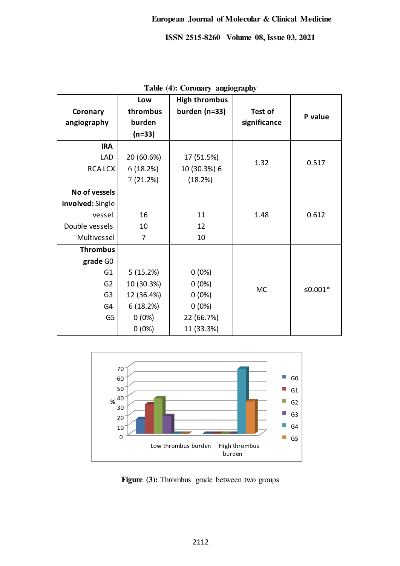|                  | Low        | <b>High thrombus</b> |              |                     |
|------------------|------------|----------------------|--------------|---------------------|
| Coronary         | thrombus   | burden (n=33)        | Test of      | P value             |
| angiography      | burden     |                      | significance |                     |
|                  | $(n=33)$   |                      |              |                     |
| <b>IRA</b>       |            |                      |              |                     |
| <b>LAD</b>       | 20 (60.6%) | 17 (51.5%)           | 1.32         | 0.517               |
| <b>RCALCX</b>    | 6(18.2%)   | 10 (30.3%) 6         |              |                     |
|                  | 7(21.2%)   | (18.2%)              |              |                     |
| No of vessels    |            |                      |              |                     |
| involved: Single |            |                      |              |                     |
| vessel           | 16         | 11                   | 1.48         | 0.612               |
| Double vessels   | 10         | 12                   |              |                     |
| Multivessel      | 7          | 10                   |              |                     |
| <b>Thrombus</b>  |            |                      |              |                     |
| grade GO         |            |                      |              |                     |
| G <sub>1</sub>   | 5(15.2%)   | $0(0\%)$             | <b>MC</b>    | ≤0.001 <sup>*</sup> |
| G <sub>2</sub>   | 10 (30.3%) | $0(0\%)$             |              |                     |
| G <sub>3</sub>   | 12 (36.4%) | $0(0\%)$             |              |                     |
| G4               | 6(18.2%)   | $0(0\%)$             |              |                     |
| G <sub>5</sub>   | $0(0\%)$   | 22 (66.7%)           |              |                     |
|                  | $0(0\%)$   | 11 (33.3%)           |              |                     |

**Table (4): Coronary angiography** 



Figure (3): Thrombus grade between two groups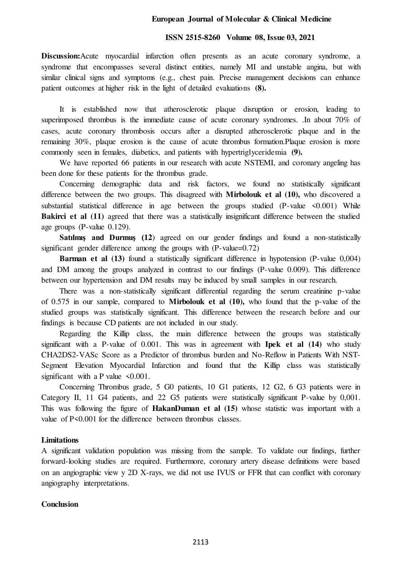#### **European Journal of Molecular & Clinical Medicine**

#### **ISSN 2515-8260 Volume 08, Issue 03, 2021**

**Discussion:**Acute myocardial infarction often presents as an acute coronary syndrome, a syndrome that encompasses several distinct entities, namely MI and unstable angina, but with similar clinical signs and symptoms (e.g., chest pain. Precise management decisions can enhance patient outcomes at higher risk in the light of detailed evaluations **(8).** 

It is established now that atherosclerotic plaque disruption or erosion, leading to superimposed thrombus is the immediate cause of acute coronary syndromes. .In about 70% of cases, acute coronary thrombosis occurs after a disrupted atherosclerotic plaque and in the remaining 30%, plaque erosion is the cause of acute thrombus formation.Plaque erosion is more commonly seen in females, diabetics, and patients with hypertriglyceridemia **(9).** 

We have reported 66 patients in our research with acute NSTEMI, and coronary angeling has been done for these patients for the thrombus grade.

Concerning demographic data and risk factors, we found no statistically significant difference between the two groups. This disagreed with **Mirbolouk et al (10),** who discovered a substantial statistical difference in age between the groups studied (P-value <0.001) While **Bakirci et al (11)** agreed that there was a statistically insignificant difference between the studied age groups (P-value 0.129).

**Satilmis and Durmus (12)** agreed on our gender findings and found a non-statistically significant gender difference among the groups with (P-value=0.72)

**Barman et al (13)** found a statistically significant difference in hypotension (P-value 0,004) and DM among the groups analyzed in contrast to our findings (P-value 0.009). This difference between our hypertension and DM results may be induced by small samples in our research.

There was a non-statistically significant differential regarding the serum creatinine p-value of 0.575 in our sample, compared to **Mirbolouk et al (10),** who found that the p-value of the studied groups was statistically significant. This difference between the research before and our findings is because CD patients are not included in our study.

Regarding the Killip class, the main difference between the groups was statistically significant with a P-value of 0.001. This was in agreement with **Ipek et al (14)** who study CHA2DS2-VASc Score as a Predictor of thrombus burden and No-Reflow in Patients With NST-Segment Elevation Myocardial Infarction and found that the Killip class was statistically significant with a P value  $\leq 0.001$ .

Concerning Thrombus grade, 5 G0 patients, 10 G1 patients, 12 G2, 6 G3 patients were in Category II, 11 G4 patients, and 22 G5 patients were statistically significant P-value by 0,001. This was following the figure of **HakanDuman et al (15)** whose statistic was important with a value of P<0.001 for the difference between thrombus classes.

#### **Limitations**

A significant validation population was missing from the sample. To validate our findings, further forward-looking studies are required. Furthermore, coronary artery disease definitions were based on an angiographic view y 2D X-rays, we did not use IVUS or FFR that can conflict with coronary angiography interpretations.

#### **Conclusion**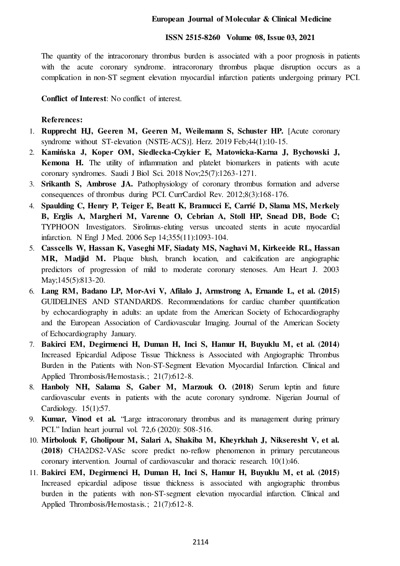The quantity of the intracoronary thrombus burden is associated with a poor prognosis in patients with the acute coronary syndrome. intracoronary thrombus plaque disruption occurs as a complication in non-ST segment elevation myocardial infarction patients undergoing primary PCI.

**Conflict of Interest**: No conflict of interest.

## **References:**

- 1. **Rupprecht HJ, Geeren M, Geeren M, Weilemann S, Schuster HP.** [Acute coronary syndrome without ST-elevation (NSTE-ACS)]. Herz. 2019 Feb;44(1):10-15.
- 2. **Kamińska J, Koper OM, Siedlecka-Czykier E, Matowicka-Karna J, Bychowski J, Kemona H.** The utility of inflammation and platelet biomarkers in patients with acute coronary syndromes. Saudi J Biol Sci. 2018 Nov;25(7):1263-1271.
- 3. **Srikanth S, Ambrose JA.** Pathophysiology of coronary thrombus formation and adverse consequences of thrombus during PCI. CurrCardiol Rev. 2012;8(3):168-176.
- 4. **Spaulding C, Henry P, Teiger E, Beatt K, Bramucci E, Carrié D, Slama MS, Merkely B, Erglis A, Margheri M, Varenne O, Cebrian A, Stoll HP, Snead DB, Bode C;**  TYPHOON Investigators. Sirolimus-eluting versus uncoated stents in acute myocardial infarction. N Engl J Med. 2006 Sep 14;355(11):1093-104.
- 5. **Casscells W, Hassan K, Vaseghi MF, Siadaty MS, Naghavi M, Kirkeeide RL, Hassan MR, Madjid M.** Plaque blush, branch location, and calcification are angiographic predictors of progression of mild to moderate coronary stenoses. Am Heart J. 2003 May;145(5):813-20.
- 6. **Lang RM, Badano LP, Mor-Avi V, Afilalo J, Armstrong A, Ernande L, et al. (2015)** GUIDELINES AND STANDARDS. Recommendations for cardiac chamber quantification by echocardiography in adults: an update from the American Society of Echocardiography and the European Association of Cardiovascular Imaging. Journal of the American Society of Echocardiography January.
- 7. **Bakirci EM, Degirmenci H, Duman H, Inci S, Hamur H, Buyuklu M, et al. (2014)** Increased Epicardial Adipose Tissue Thickness is Associated with Angiographic Thrombus Burden in the Patients with Non-ST-Segment Elevation Myocardial Infarction. Clinical and Applied Thrombosis/Hemostasis.; 21(7):612-8.
- 8. **Hanboly NH, Salama S, Gaber M, Marzouk O. (2018)** Serum leptin and future cardiovascular events in patients with the acute coronary syndrome. Nigerian Journal of Cardiology. 15(1):57.
- 9. **Kumar, Vinod et al.** "Large intracoronary thrombus and its management during primary PCI." Indian heart journal vol. 72,6 (2020): 508-516.
- 10. **Mirbolouk F, Gholipour M, Salari A, Shakiba M, Kheyrkhah J, Nikseresht V, et al. (2018)** CHA2DS2-VASc score predict no-reflow phenomenon in primary percutaneous coronary intervention. Journal of cardiovascular and thoracic research. 10(1):46.
- 11. **Bakirci EM, Degirmenci H, Duman H, Inci S, Hamur H, Buyuklu M, et al. (2015)** Increased epicardial adipose tissue thickness is associated with angiographic thrombus burden in the patients with non-ST-segment elevation myocardial infarction. Clinical and Applied Thrombosis/Hemostasis.; 21(7):612-8.